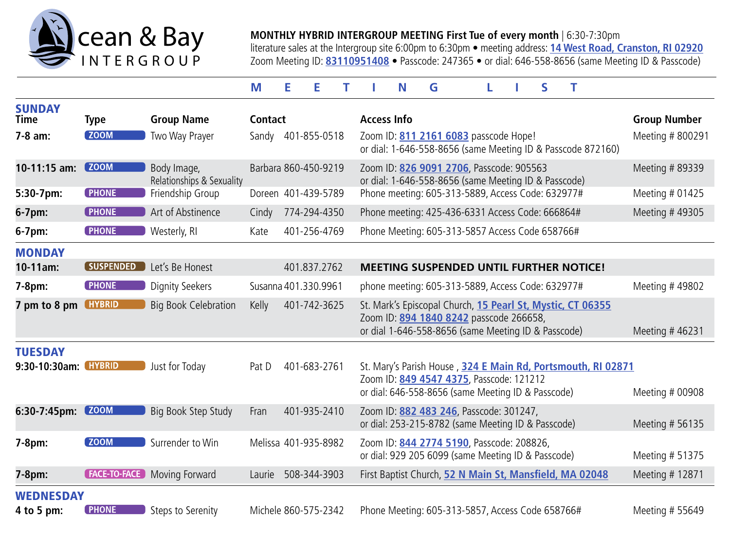

## **MONTHLY HYBRID INTERGROUP MEETING First Tue of every month** | 6:30-7:30pm

literature sales at the Intergroup site 6:00pm to 6:30pm • meeting address: **[14 West Road, Cranston, RI 02920](https://www.google.com/maps/place/14+W+Rd.,+Cranston,+RI+02920/@41.7437804,-71.4633446,17z/data=!3m1!4b1!4m5!3m4!1s0x89e44ebba02e1cab:0x5c65624b66032c22!8m2!3d41.7437764!4d-71.4611506?hl=en)** Zoom Meeting ID: **[83110951408](https://zoom.us/j/83110951408)** • Passcode: 247365 • or dial: 646-558-8656 (same Meeting ID & Passcode)

## **MEETING LIST**

| <b>SUNDAY</b><br><b>Time</b>           | <b>Type</b>         | <b>Group Name</b>                        | <b>Contact</b> |                      | <b>Access Info</b>                                                                                                                                             | <b>Group Number</b> |
|----------------------------------------|---------------------|------------------------------------------|----------------|----------------------|----------------------------------------------------------------------------------------------------------------------------------------------------------------|---------------------|
| $7 - 8$ am:                            | <b>ZOOM</b>         | Two Way Prayer                           |                | Sandy 401-855-0518   | Zoom ID: 811 2161 6083 passcode Hope!<br>or dial: 1-646-558-8656 (same Meeting ID & Passcode 872160)                                                           | Meeting # 800291    |
| $10-11:15$ am:                         | <b>ZOOM</b>         | Body Image,<br>Relationships & Sexuality |                | Barbara 860-450-9219 | Zoom ID: 826 9091 2706, Passcode: 905563<br>or dial: 1-646-558-8656 (same Meeting ID & Passcode)                                                               | Meeting # 89339     |
| 5:30-7pm:                              | PHONE               | Friendship Group                         |                | Doreen 401-439-5789  | Phone meeting: 605-313-5889, Access Code: 632977#                                                                                                              | Meeting # 01425     |
| 6-7pm:                                 | <b>PHONE</b>        | Art of Abstinence                        | Cindy          | 774-294-4350         | Phone meeting: 425-436-6331 Access Code: 666864#                                                                                                               | Meeting #49305      |
| 6-7pm:                                 | <b>PHONE</b>        | Westerly, RI                             | Kate           | 401-256-4769         | Phone Meeting: 605-313-5857 Access Code 658766#                                                                                                                |                     |
| <b>MONDAY</b>                          |                     |                                          |                |                      |                                                                                                                                                                |                     |
| $10-11$ am:                            | <b>SUSPENDED</b>    | Let's Be Honest                          |                | 401.837.2762         | <b>MEETING SUSPENDED UNTIL FURTHER NOTICE!</b>                                                                                                                 |                     |
| 7-8pm:                                 | <b>PHONE</b>        | <b>Dignity Seekers</b>                   |                | Susanna 401.330.9961 | phone meeting: 605-313-5889, Access Code: 632977#                                                                                                              | Meeting #49802      |
| 7 pm to 8 pm                           | <b>HYBRID</b>       | <b>Big Book Celebration</b>              | Kelly          | 401-742-3625         | St. Mark's Episcopal Church, 15 Pearl St, Mystic, CT 06355<br>Zoom ID: 894 1840 8242 passcode 266658,<br>or dial 1-646-558-8656 (same Meeting ID & Passcode)   | Meeting #46231      |
| <b>TUESDAY</b><br>9:30-10:30am: HYBRID |                     | Just for Today                           | Pat D          | 401-683-2761         | St. Mary's Parish House, 324 E Main Rd, Portsmouth, RI 02871<br>Zoom ID: 849 4547 4375, Passcode: 121212<br>or dial: 646-558-8656 (same Meeting ID & Passcode) | Meeting # 00908     |
| $6:30-7:45$ pm:                        | <b>EXECUTE</b>      | Big Book Step Study                      | Fran           | 401-935-2410         | Zoom ID: 882 483 246, Passcode: 301247,<br>or dial: 253-215-8782 (same Meeting ID & Passcode)                                                                  | Meeting # 56135     |
| 7-8pm:                                 | <b>ZOOM</b>         | Surrender to Win                         |                | Melissa 401-935-8982 | Zoom ID: 844 2774 5190, Passcode: 208826,<br>or dial: 929 205 6099 (same Meeting ID & Passcode)                                                                | Meeting # 51375     |
| 7-8pm:                                 | <b>FACE-TO-FACE</b> | Moving Forward                           | Laurie         | 508-344-3903         | First Baptist Church, 52 N Main St, Mansfield, MA 02048                                                                                                        | Meeting # 12871     |
| <b>WEDNESDAY</b><br>4 to 5 pm:         | <b>PHONE</b>        | Steps to Serenity                        |                | Michele 860-575-2342 | Phone Meeting: 605-313-5857, Access Code 658766#                                                                                                               | Meeting # 55649     |